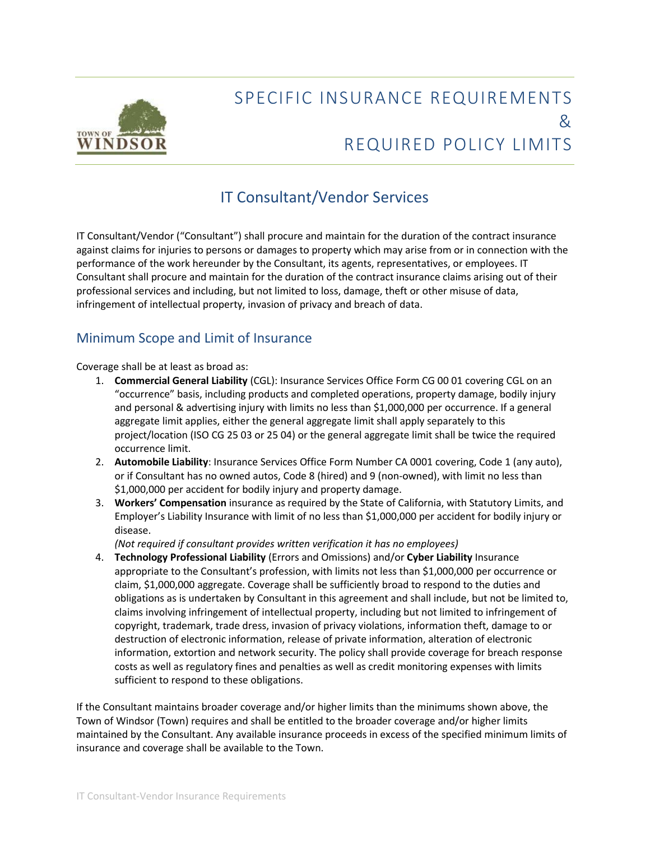

# SPECIFIC INSURANCE REQUIREMENTS & REQUIRED POLICY LIMITS

## IT Consultant/Vendor Services

IT Consultant/Vendor ("Consultant") shall procure and maintain for the duration of the contract insurance against claims for injuries to persons or damages to property which may arise from or in connection with the performance of the work hereunder by the Consultant, its agents, representatives, or employees. IT Consultant shall procure and maintain for the duration of the contract insurance claims arising out of their professional services and including, but not limited to loss, damage, theft or other misuse of data, infringement of intellectual property, invasion of privacy and breach of data.

## Minimum Scope and Limit of Insurance

Coverage shall be at least as broad as:

- 1. **Commercial General Liability** (CGL): Insurance Services Office Form CG 00 01 covering CGL on an "occurrence" basis, including products and completed operations, property damage, bodily injury and personal & advertising injury with limits no less than \$1,000,000 per occurrence. If a general aggregate limit applies, either the general aggregate limit shall apply separately to this project/location (ISO CG 25 03 or 25 04) or the general aggregate limit shall be twice the required occurrence limit.
- 2. **Automobile Liability**: Insurance Services Office Form Number CA 0001 covering, Code 1 (any auto), or if Consultant has no owned autos, Code 8 (hired) and 9 (non-owned), with limit no less than \$1,000,000 per accident for bodily injury and property damage.
- 3. **Workers' Compensation** insurance as required by the State of California, with Statutory Limits, and Employer's Liability Insurance with limit of no less than \$1,000,000 per accident for bodily injury or disease.

*(Not required if consultant provides written verification it has no employees)*

4. **Technology Professional Liability** (Errors and Omissions) and/or **Cyber Liability** Insurance appropriate to the Consultant's profession, with limits not less than \$1,000,000 per occurrence or claim, \$1,000,000 aggregate. Coverage shall be sufficiently broad to respond to the duties and obligations as is undertaken by Consultant in this agreement and shall include, but not be limited to, claims involving infringement of intellectual property, including but not limited to infringement of copyright, trademark, trade dress, invasion of privacy violations, information theft, damage to or destruction of electronic information, release of private information, alteration of electronic information, extortion and network security. The policy shall provide coverage for breach response costs as well as regulatory fines and penalties as well as credit monitoring expenses with limits sufficient to respond to these obligations.

If the Consultant maintains broader coverage and/or higher limits than the minimums shown above, the Town of Windsor (Town) requires and shall be entitled to the broader coverage and/or higher limits maintained by the Consultant. Any available insurance proceeds in excess of the specified minimum limits of insurance and coverage shall be available to the Town.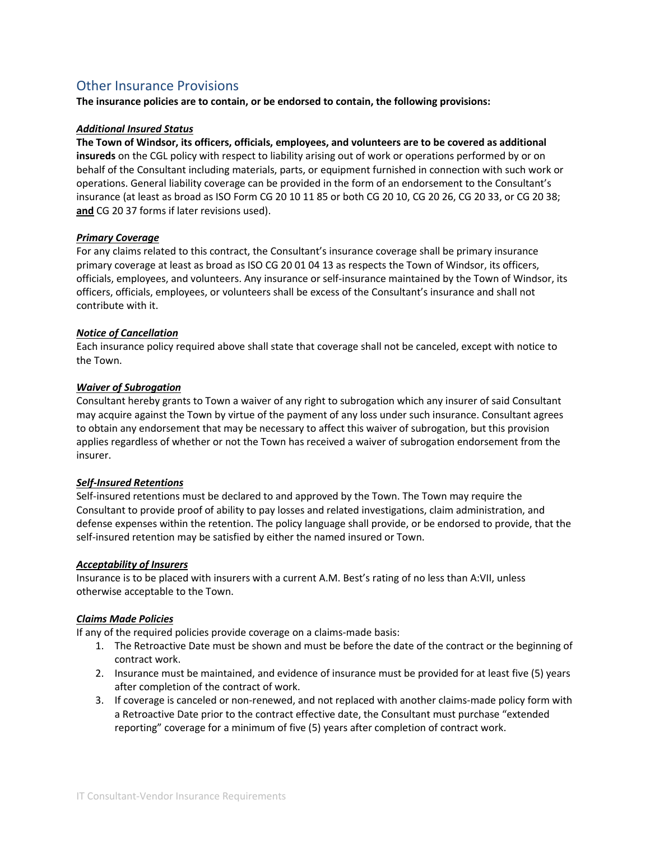### Other Insurance Provisions

**The insurance policies are to contain, or be endorsed to contain, the following provisions:**

#### *Additional Insured Status*

**The Town of Windsor, its officers, officials, employees, and volunteers are to be covered as additional insureds** on the CGL policy with respect to liability arising out of work or operations performed by or on behalf of the Consultant including materials, parts, or equipment furnished in connection with such work or operations. General liability coverage can be provided in the form of an endorsement to the Consultant's insurance (at least as broad as ISO Form CG 20 10 11 85 or both CG 20 10, CG 20 26, CG 20 33, or CG 20 38; **and** CG 20 37 forms if later revisions used).

#### *Primary Coverage*

For any claims related to this contract, the Consultant's insurance coverage shall be primary insurance primary coverage at least as broad as ISO CG 20 01 04 13 as respects the Town of Windsor, its officers, officials, employees, and volunteers. Any insurance or self-insurance maintained by the Town of Windsor, its officers, officials, employees, or volunteers shall be excess of the Consultant's insurance and shall not contribute with it.

#### *Notice of Cancellation*

Each insurance policy required above shall state that coverage shall not be canceled, except with notice to the Town.

#### *Waiver of Subrogation*

Consultant hereby grants to Town a waiver of any right to subrogation which any insurer of said Consultant may acquire against the Town by virtue of the payment of any loss under such insurance. Consultant agrees to obtain any endorsement that may be necessary to affect this waiver of subrogation, but this provision applies regardless of whether or not the Town has received a waiver of subrogation endorsement from the insurer.

#### *Self-Insured Retentions*

Self-insured retentions must be declared to and approved by the Town. The Town may require the Consultant to provide proof of ability to pay losses and related investigations, claim administration, and defense expenses within the retention. The policy language shall provide, or be endorsed to provide, that the self-insured retention may be satisfied by either the named insured or Town.

#### *Acceptability of Insurers*

Insurance is to be placed with insurers with a current A.M. Best's rating of no less than A:VII, unless otherwise acceptable to the Town.

#### *Claims Made Policies*

If any of the required policies provide coverage on a claims-made basis:

- 1. The Retroactive Date must be shown and must be before the date of the contract or the beginning of contract work.
- 2. Insurance must be maintained, and evidence of insurance must be provided for at least five (5) years after completion of the contract of work.
- 3. If coverage is canceled or non-renewed, and not replaced with another claims-made policy form with a Retroactive Date prior to the contract effective date, the Consultant must purchase "extended reporting" coverage for a minimum of five (5) years after completion of contract work.